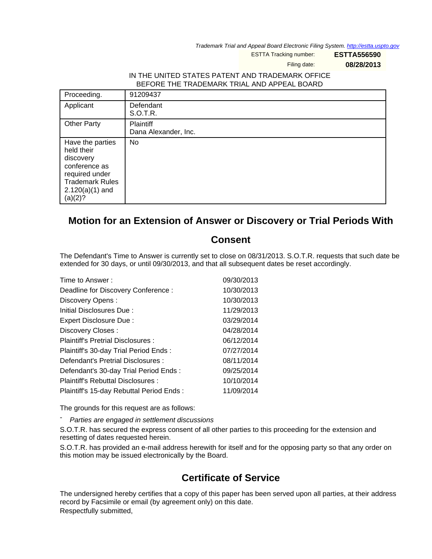Trademark Trial and Appeal Board Electronic Filing System. <http://estta.uspto.gov>

ESTTA Tracking number: **ESTTA556590**

Filing date: **08/28/2013**

## IN THE UNITED STATES PATENT AND TRADEMARK OFFICE BEFORE THE TRADEMARK TRIAL AND APPEAL BOARD

| Proceeding.                                                                                                                              | 91209437                          |
|------------------------------------------------------------------------------------------------------------------------------------------|-----------------------------------|
| Applicant                                                                                                                                | Defendant<br>S.O.T.R.             |
| <b>Other Party</b>                                                                                                                       | Plaintiff<br>Dana Alexander, Inc. |
| Have the parties<br>held their<br>discovery<br>conference as<br>required under<br><b>Trademark Rules</b><br>$2.120(a)(1)$ and<br>(a)(2)? | No                                |

## **Motion for an Extension of Answer or Discovery or Trial Periods With**

## **Consent**

The Defendant's Time to Answer is currently set to close on 08/31/2013. S.O.T.R. requests that such date be extended for 30 days, or until 09/30/2013, and that all subsequent dates be reset accordingly.

| Time to Answer:                          | 09/30/2013 |
|------------------------------------------|------------|
| Deadline for Discovery Conference :      | 10/30/2013 |
| Discovery Opens:                         | 10/30/2013 |
| Initial Disclosures Due:                 | 11/29/2013 |
| Expert Disclosure Due:                   | 03/29/2014 |
| Discovery Closes:                        | 04/28/2014 |
| Plaintiff's Pretrial Disclosures:        | 06/12/2014 |
| Plaintiff's 30-day Trial Period Ends:    | 07/27/2014 |
| Defendant's Pretrial Disclosures :       | 08/11/2014 |
| Defendant's 30-day Trial Period Ends:    | 09/25/2014 |
| Plaintiff's Rebuttal Disclosures :       | 10/10/2014 |
| Plaintiff's 15-day Rebuttal Period Ends: | 11/09/2014 |

The grounds for this request are as follows:

Parties are engaged in settlement discussions

S.O.T.R. has secured the express consent of all other parties to this proceeding for the extension and resetting of dates requested herein.

S.O.T.R. has provided an e-mail address herewith for itself and for the opposing party so that any order on this motion may be issued electronically by the Board.

## **Certificate of Service**

The undersigned hereby certifies that a copy of this paper has been served upon all parties, at their address record by Facsimile or email (by agreement only) on this date. Respectfully submitted,